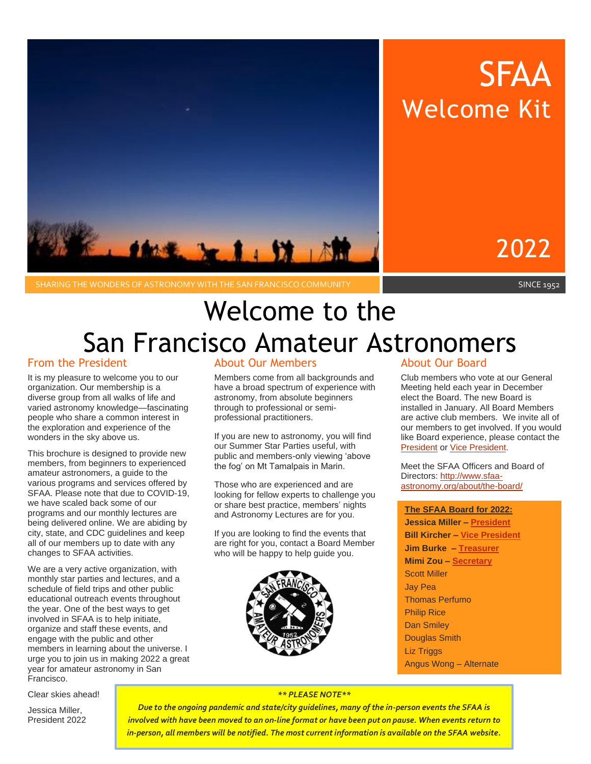

# SFAA Welcome Kit

2022

SHARING THE WONDERS OF ASTRONOMY WITH THE SAN FRANCISCO COMMUNITY SAME RELATION AND RELATIONS SINCE 1952

# Welcome to the San Francisco Amateur Astronomers

# From the President

It is my pleasure to welcome you to our organization. Our membership is a diverse group from all walks of life and varied astronomy knowledge—fascinating people who share a common interest in the exploration and experience of the wonders in the sky above us.

This brochure is designed to provide new members, from beginners to experienced amateur astronomers, a guide to the various programs and services offered by SFAA. Please note that due to COVID-19, we have scaled back some of our programs and our monthly lectures are being delivered online. We are abiding by city, state, and CDC guidelines and keep all of our members up to date with any changes to SFAA activities.

We are a very active organization, with monthly star parties and lectures, and a schedule of field trips and other public educational outreach events throughout the year. One of the best ways to get involved in SFAA is to help initiate, organize and staff these events, and engage with the public and other members in learning about the universe. I urge you to join us in making 2022 a great year for amateur astronomy in San Francisco.

Clear skies ahead!

Jessica Miller, President 2022

# About Our Members

Members come from all backgrounds and have a broad spectrum of experience with astronomy, from absolute beginners through to professional or semiprofessional practitioners.

If you are new to astronomy, you will find our Summer Star Parties useful, with public and members-only viewing 'above the fog' on Mt Tamalpais in Marin.

Those who are experienced and are looking for fellow experts to challenge you or share best practice, members' nights and Astronomy Lectures are for you.

If you are looking to find the events that are right for you, contact a Board Member who will be happy to help guide you.



# About Our Board

Club members who vote at our General Meeting held each year in December elect the Board. The new Board is installed in January. All Board Members are active club members. We invite all of our members to get involved. If you would like Board experience, please contact the **[President](mailto:president@sfaa-astronomy.org?subject=SFAA%20Board%20Interest) or [Vice President.](mailto:vicepresident@sfaa-astronomy.org)** 

Meet the SFAA Officers and Board of Directors: [http://www.sfaa](http://www.sfaa-astronomy.org/about/the-board/)[astronomy.org/about/the-board/](http://www.sfaa-astronomy.org/about/the-board/)

# **The SFAA Board for 2022:**

**Jessica Miller – [President](mailto:president@sfaa-astronomy.org) Bill Kircher – [Vice President](mailto:vicepresident@sfaa-astronomy.org) Jim Burke – [Treasurer](mailto:treasurer@sfaa-astronomy.org) Mimi Zou – [Secretary](mailto:secretary@sfaa-astronomy.org)** Scott Miller Jay Pea Thomas Perfumo Philip Rice Dan Smiley Douglas Smith Liz Triggs Angus Wong – Alternate

#### *\*\* PLEASE NOTE\*\**

*Due to the ongoing pandemic and state/city guidelines, many of the in-person events the SFAA is involved with have been moved to an on-line format or have been put on pause. When events return to in-person, all members will be notified. The most current information is available on the SFAA website.*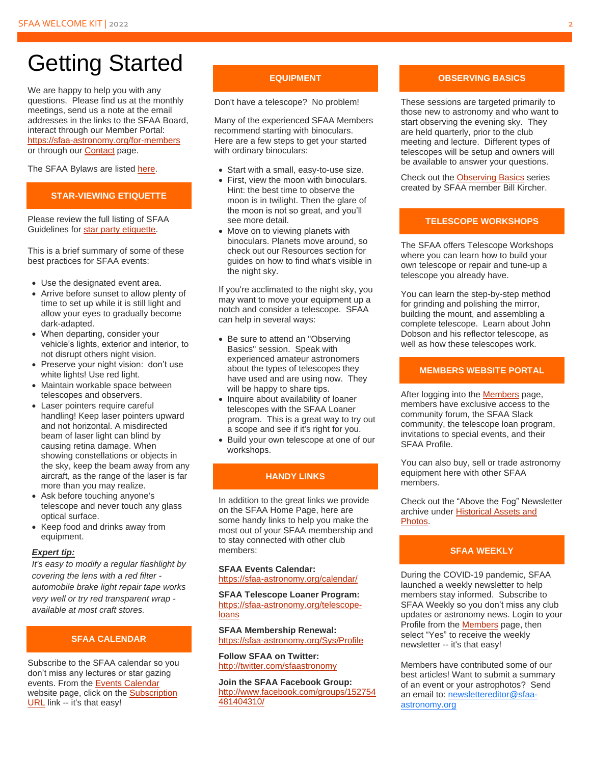# Getting Started

We are happy to help you with any questions. Please find us at the monthly meetings, send us a note at the email addresses in the links to the SFAA Board, interact through our Member Portal: <https://sfaa-astronomy.org/for-members> or through our [Contact](https://sfaa-astronomy.org/contact-us) page.

The SFAA Bylaws are listed [here.](https://sfaa-astronomy.org/sfaa-bylaws)

#### **STAR-VIEWING ETIQUETTE**

Please review the full listing of SFAA Guidelines for [star party etiquette.](https://sfaa-astronomy.org/resources/Documents/302_S.F.A.A.-Guidelines_General-Star-Party-Etiquette_Mt.%20Tamalpais_Yosemite.pdf)

This is a brief summary of some of these best practices for SFAA events:

- Use the designated event area.
- Arrive before sunset to allow plenty of time to set up while it is still light and allow your eyes to gradually become dark-adapted.
- When departing, consider your vehicle's lights, exterior and interior, to not disrupt others night vision.
- Preserve your night vision: don't use white lights! Use red light.
- Maintain workable space between telescopes and observers.
- Laser pointers require careful handling! Keep laser pointers upward and not horizontal. A misdirected beam of laser light can blind by causing retina damage. When showing constellations or objects in the sky, keep the beam away from any aircraft, as the range of the laser is far more than you may realize.
- Ask before touching anyone's telescope and never touch any glass optical surface.
- Keep food and drinks away from equipment.

#### *Expert tip:*

*It's easy to modify a regular flashlight by covering the lens with a red filter automobile brake light repair tape works very well or try red transparent wrap available at most craft stores.*

#### **SFAA CALENDAR**

Subscribe to the SFAA calendar so you don't miss any lectures or star gazing events. From the [Events Calendar](https://www.sfaa-astronomy.org/calendar/) website page, click on the [Subscription](https://calendar.google.com/calendar/ical/c_19ig2igvidbbpa13ve8h68ucu0@group.calendar.google.com/public/basic.ics)  [URL](https://calendar.google.com/calendar/ical/c_19ig2igvidbbpa13ve8h68ucu0@group.calendar.google.com/public/basic.ics) link -- it's that easy!

#### **EQUIPMENT**

Don't have a telescope? No problem!

Many of the experienced SFAA Members recommend starting with binoculars. Here are a few steps to get your started with ordinary binoculars:

- Start with a small, easy-to-use size.
- First, view the moon with binoculars. Hint: the best time to observe the moon is in twilight. Then the glare of the moon is not so great, and you'll see more detail.
- Move on to viewing planets with binoculars. Planets move around, so check out our Resources section for guides on how to find what's visible in the night sky.

If you're acclimated to the night sky, you may want to move your equipment up a notch and consider a telescope. SFAA can help in several ways:

- Be sure to attend an "Observing Basics" session. Speak with experienced amateur astronomers about the types of telescopes they have used and are using now. They will be happy to share tips.
- Inquire about availability of loaner telescopes with the SFAA Loaner program. This is a great way to try out a scope and see if it's right for you.
- Build your own telescope at one of our workshops.

# **HANDY LINKS**

In addition to the great links we provide on the SFAA Home Page, here are some handy links to help you make the most out of your SFAA membership and to stay connected with other club members:

**SFAA Events Calendar:** <https://sfaa-astronomy.org/calendar/>

**SFAA Telescope Loaner Program:**  [https://sfaa-astronomy.org/telescope](https://sfaa-astronomy.org/telescope-loans)[loans](https://sfaa-astronomy.org/telescope-loans)

**SFAA Membership Renewal:**  <https://sfaa-astronomy.org/Sys/Profile>

**Follow SFAA on Twitter:**  <http://twitter.com/sfaastronomy>

**Join the SFAA Facebook Group:**  [http://www.facebook.com/groups/152754](http://www.facebook.com/groups/152754481404310/) [481404310/](http://www.facebook.com/groups/152754481404310/)

#### **OBSERVING BASICS**

These sessions are targeted primarily to those new to astronomy and who want to start observing the evening sky. They are held quarterly, prior to the club meeting and lecture. Different types of telescopes will be setup and owners will be available to answer your questions.

Check out the [Observing Basics](https://sfaa-astronomy.org/monthly_lectures/observing-basics-series-2021) series created by SFAA member Bill Kircher.

#### **TELESCOPE WORKSHOPS**

The SFAA offers Telescope Workshops where you can learn how to build your own telescope or repair and tune-up a telescope you already have.

You can learn the step-by-step method for grinding and polishing the mirror, building the mount, and assembling a complete telescope. Learn about John Dobson and his reflector telescope, as well as how these telescopes work.

#### **MEMBERS WEBSITE PORTAL**

After logging into the [Members](https://sfaa-astronomy.org/for-members) page, members have exclusive access to the community forum, the SFAA Slack community, the telescope loan program, invitations to special events, and their SFAA Profile.

You can also buy, sell or trade astronomy equipment here with other SFAA members.

Check out the "Above the Fog" Newsletter archive under [Historical Assets and](https://www.sfaa-astronomy.org/historical-assets)  [Photos.](https://www.sfaa-astronomy.org/historical-assets)

#### **SFAA WEEKLY**

During the COVID-19 pandemic, SFAA launched a weekly newsletter to help members stay informed. Subscribe to SFAA Weekly so you don't miss any club updates or astronomy news. Login to your Profile from th[e Members](https://sfaa-astronomy.org/for-members) page, then select "Yes" to receive the weekly newsletter -- it's that easy!

Members have contributed some of our best articles! Want to submit a summary of an event or your astrophotos? Send an email to: [newslettereditor@sfaa](mailto:newslettereditor@sfaa-astronomy.org)[astronomy.org](mailto:newslettereditor@sfaa-astronomy.org)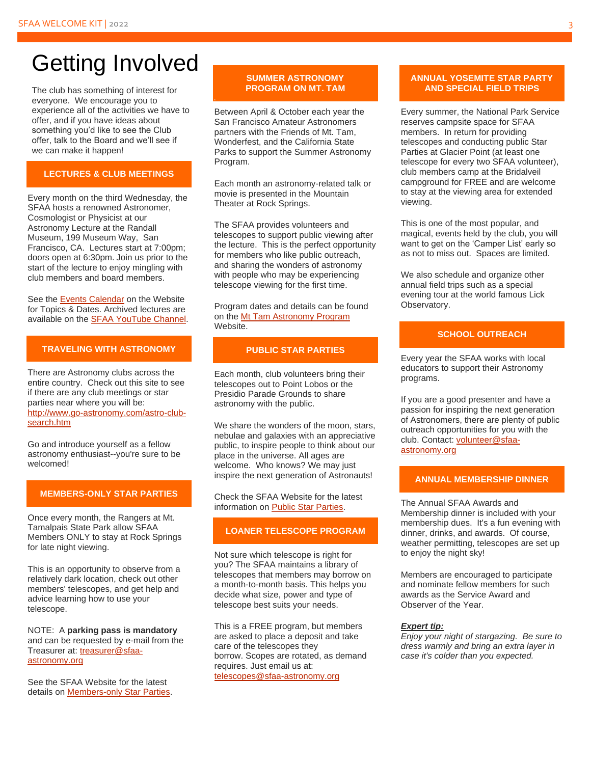# Getting Involved

The club has something of interest for everyone. We encourage you to experience all of the activities we have to offer, and if you have ideas about something you'd like to see the Club offer, talk to the Board and we'll see if we can make it happen!

### **LECTURES & CLUB MEETINGS**

Every month on the third Wednesday, the SFAA hosts a renowned Astronomer, Cosmologist or Physicist at our Astronomy Lecture at the Randall Museum, 199 Museum Way, San Francisco, CA. Lectures start at 7:00pm; doors open at 6:30pm. Join us prior to the start of the lecture to enjoy mingling with club members and board members.

See the [Events Calendar](https://sfaa-astronomy.org/calendar) on the Website for Topics & Dates. Archived lectures are available on the [SFAA YouTube Channel.](https://sfaa-astronomy.org/monthly_lectures/archived-lectures)

#### **TRAVELING WITH ASTRONOMY**

There are Astronomy clubs across the entire country. Check out this site to see if there are any club meetings or star parties near where you will be: [http://www.go-astronomy.com/astro-club](http://www.go-astronomy.com/astro-club-search.htm)[search.htm](http://www.go-astronomy.com/astro-club-search.htm)

Go and introduce yourself as a fellow astronomy enthusiast--you're sure to be welcomed!

#### **MEMBERS-ONLY STAR PARTIES**

Once every month, the Rangers at Mt. Tamalpais State Park allow SFAA Members ONLY to stay at Rock Springs for late night viewing.

This is an opportunity to observe from a relatively dark location, check out other members' telescopes, and get help and advice learning how to use your telescope.

NOTE: A **parking pass is mandatory** and can be requested by e-mail from the Treasurer at: [treasurer@sfaa](mailto:treasurer@sfaa-astronomy.org)[astronomy.org](mailto:treasurer@sfaa-astronomy.org)

See the SFAA Website for the latest details on [Members-only Star Parties.](https://sfaa-astronomy.org/star_parties/mount_tam/)

#### **SUMMER ASTRONOMY PROGRAM ON MT. TAM**

Between April & October each year the San Francisco Amateur Astronomers partners with the Friends of Mt. Tam, Wonderfest, and the California State Parks to support the Summer Astronomy Program.

Each month an astronomy-related talk or movie is presented in the Mountain Theater at Rock Springs.

The SFAA provides volunteers and telescopes to support public viewing after the lecture. This is the perfect opportunity for members who like public outreach, and sharing the wonders of astronomy with people who may be experiencing telescope viewing for the first time.

Program dates and details can be found on th[e Mt Tam Astronomy Program](https://www.mttamastronomy.org/) Website.

## **PUBLIC STAR PARTIES**

Each month, club volunteers bring their telescopes out to Point Lobos or the Presidio Parade Grounds to share astronomy with the public.

We share the wonders of the moon, stars, nebulae and galaxies with an appreciative public, to inspire people to think about our place in the universe. All ages are welcome. Who knows? We may just inspire the next generation of Astronauts!

Check the SFAA Website for the latest information o[n Public Star Parties.](https://sfaa-astronomy.org/star_parties)

#### **LOANER TELESCOPE PROGRAM**

Not sure which telescope is right for you? The SFAA maintains a library of telescopes that members may borrow on a month-to-month basis. This helps you decide what size, power and type of telescope best suits your needs.

This is a FREE program, but members are asked to place a deposit and take care of the telescopes they borrow. Scopes are rotated, as demand requires. Just email us at: [telescopes@sfaa-astronomy.org](mailto:telescopes@sfaa-astronomy.org) 

#### **ANNUAL YOSEMITE STAR PARTY AND SPECIAL FIELD TRIPS**

Every summer, the National Park Service reserves campsite space for SFAA members. In return for providing telescopes and conducting public Star Parties at Glacier Point (at least one telescope for every two SFAA volunteer), club members camp at the Bridalveil campground for FREE and are welcome to stay at the viewing area for extended viewing.

This is one of the most popular, and magical, events held by the club, you will want to get on the 'Camper List' early so as not to miss out. Spaces are limited.

We also schedule and organize other annual field trips such as a special evening tour at the world famous Lick Observatory.

# **SCHOOL OUTREACH**

Every year the SFAA works with local educators to support their Astronomy programs.

If you are a good presenter and have a passion for inspiring the next generation of Astronomers, there are plenty of public outreach opportunities for you with the club. Contact[: volunteer@sfaa](mailto:volunteer@sfaa-astronomy.org)[astronomy.org](mailto:volunteer@sfaa-astronomy.org)

#### **ANNUAL MEMBERSHIP DINNER**

The Annual SFAA Awards and Membership dinner is included with your membership dues. It's a fun evening with dinner, drinks, and awards. Of course, weather permitting, telescopes are set up to enjoy the night sky!

Members are encouraged to participate and nominate fellow members for such awards as the Service Award and Observer of the Year.

#### *Expert tip:*

*Enjoy your night of stargazing. Be sure to dress warmly and bring an extra layer in case it's colder than you expected.*